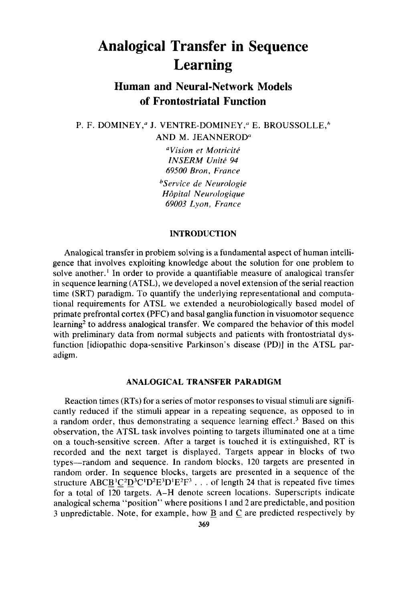# **Analogical Transfer in Sequence Learning**

# **Human and Neural-Network Models of Frontostriatal Function**

P. F. DOMINEY,<sup>*a*</sup> J. VENTRE-DOMINEY,<sup>*a*</sup> E. BROUSSOLLE,<sup>*h*</sup>

AND M. JEANNEROD"

<sup>a</sup>Vision et Motricité *INSERM Unité 94 69500 Bran, Frunce bService de Neurologie Hapita1 Neurologique 69003 Lyon, France* 

# **INTRODUCTION**

Analogical transfer in problem solving is a fundamental aspect of human intelligence that involves exploiting knowledge about the solution for one problem to solve another.<sup>1</sup> In order to provide a quantifiable measure of analogical transfer in sequence learning (ATSL), we developed a novel extension of the serial reaction time (SRT) paradigm. To quantify the underlying representational and computational requirements for ATSL we extended a neurobiologically based model of primate prefrontal cortex (PFC) and basal ganglia function in visuomotor sequence learning<sup>2</sup> to address analogical transfer. We compared the behavior of this model with preliminary data from normal subjects and patients with frontostriatal dysfunction [idiopathic dopa-sensitive Parkinson's disease (PD)] in the ATSL paradigm.

# **ANALOGICAL TRANSFER PARADIGM**

Reaction times (RTs) for a series of motor responses to visual stimuli are significantly reduced if the stimuli appear in a repeating sequence, as opposed to in a random order, thus demonstrating a sequence learning effect.<sup>3</sup> Based on this observation, the ATSL task involves pointing to targets illuminated one at a time on a touch-sensitive screen. After a target is touched it is extinguished, RT is recorded and the next target is displayed. Targets appear in blocks of two types-random and sequence. In random blocks, **120** targets are presented in random order. In sequence blocks, targets are presented in a sequence of the structure ABCB<sup>1</sup>C<sup>2</sup>D<sup>3</sup>C<sup>1</sup>D<sup>2</sup>E<sup>3</sup>D<sup>1</sup>E<sup>2</sup>F<sup>3</sup> . . . of length 24 that is repeated five times for a total of 120 targets. A-H denote screen locations. Superscripts indicate analogical schema "position" where positions I and *2* are predictable, and position *3* unpredictable. Note, for example, how **B** and C are predicted respectively by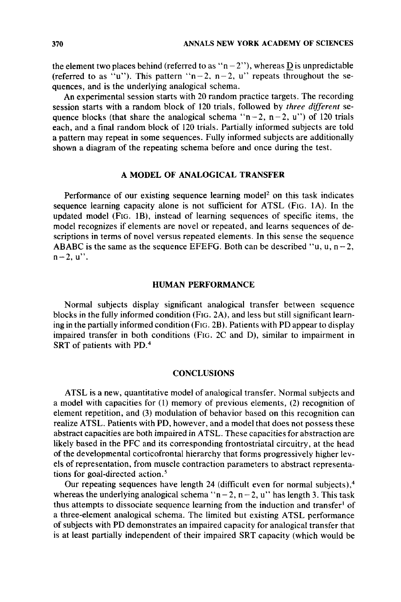the element two places behind (referred to as " $n - 2$ "), whereas **D** is unpredictable (referred to as "u"). This pattern " $n-2$ ,  $n-2$ , u" repeats throughout the sequences, and is the underlying analogical schema.

An experimental session starts with 20 random practice targets. The recording session starts with a random block of 120 trials, followed by *three different* sequence blocks (that share the analogical schema " $n-2$ ,  $n-2$ , **u**") of 120 trials each, and a final random block of 120 trials. Partially informed subjects are told a pattern may repeat in some sequences. Fully informed subjects are additionally shown a diagram of the repeating schema before and once during the test.

# **A MODEL OF ANALOGICAL TRANSFER**

Performance of our existing sequence learning model<sup>2</sup> on this task indicates sequence learning capacity alone is not sufficient for ATSL (FIG. IA). In the updated model (FIG. IB), instead of learning sequences of specific items, the model recognizes if elements are novel or repeated, and learns sequences of descriptions in terms of novel versus repeated elements. In this sense the sequence ABABC is the same as the sequence EFEFG. Both can be described "u, u,  $n-2$ ,  $n - 2$ , **u**".

#### **HUMAN PERFORMANCE**

Normal subjects display significant analogical transfer between sequence blocks in the fully informed condition (FIG. 2A), and less but still significant learning in the partially informed condition (FIG. 2B). Patients with PD appear to display impaired transfer in both conditions (FIG. 2C and D), similar to impairment in SRT of patients with PD.4

### **CONCLUSIONS**

ATSL **is** a new, quantitative model of analogical transfer. Normal subjects and a model with capacities for (1) memory of previous elements, **(2)** recognition of element repetition, and (3) modulation of behavior based on this recognition can realize ATSL. Patients with PD, however, and a model that does not possess these abstract capacities are both impaired in ATSL. These capacities for abstraction are likely based in the PFC and its corresponding frontostriatal circuitry, at the head of the developmental corticofrontal hierarchy that forms progressively higher levels of representation, from muscle contraction parameters to abstract representations for goal-directed action.'

Our repeating sequences have length 24 (difficult even for normal subjects), $4$ whereas the underlying analogical schema " $n - 2$ ,  $n - 2$ ,  $u$ " has length 3. This task thus attempts to dissociate sequence learning from the induction and transfer' of a three-element analogical schema. The limited but existing ATSL performance **of** subjects with PD demonstrates an impaired capacity for analogical transfer that is at least partially independent of their impaired SRT capacity (which would be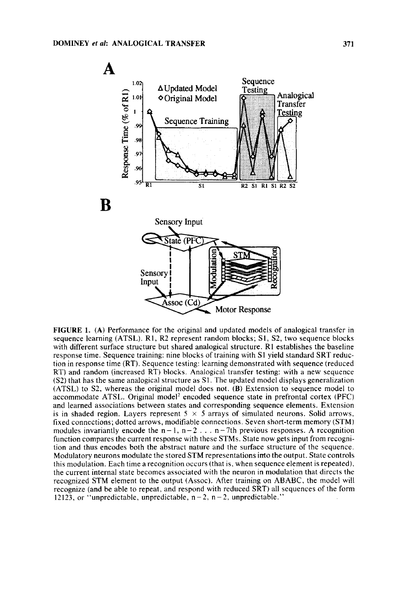

**FIGURE 1. (A)** Performance for the original and updated models of analogical transfer in sequence learning (ATSL). **R1,** R2 represent random blocks; **S1,** S2, two sequence blocks with different surface structure but shared analogical structure. RI establishes the baseline response time. Sequence training: nine blocks of training with **S1** yield standard SRT reduction in response time (RT). Sequence testing: learning demonstrated with sequence (reduced RT) and random (increased RT) blocks. Analogical transfer testing: with a new sequence (S2) that has the same analogical structure as S1. The updated model displays generalization (ATSL) to S2, whereas the original model does not. **(B)** Extension to sequence model to accommodate ATSL. Original model' encoded sequence state in prefrontal cortex (PFC) and learned associations between states and corresponding sequence elements. Extension is in shaded region. Layers represent  $5 \times 5$  arrays of simulated neurons. Solid arrows, fixed connections; dotted arrows, modifiable connections. Seven short-term memory (STM) modules invariantly encode the  $n-1$ ,  $n-2$ ...  $n-7$ th previous responses. A recognition function compares the current response with these STMs. State now gets input from recognition and thus encodes both the abstract nature and the surface structure of the sequence. Modulatory neurons modulate the stored STM representations into the output. State controls this modulation. Each time a recognition occurs (that is, when sequence element is repeated), the current internal state becomes associated with the neuron in modulation that directs the recognized STM element to the output (Assoc). After training on ABABC, the model will recognize (and be able to repeat, and respond with reduced SRT) all sequences of the form 12123, or "unpredictable, unpredictable,  $n-2$ ,  $n-2$ , unpredictable."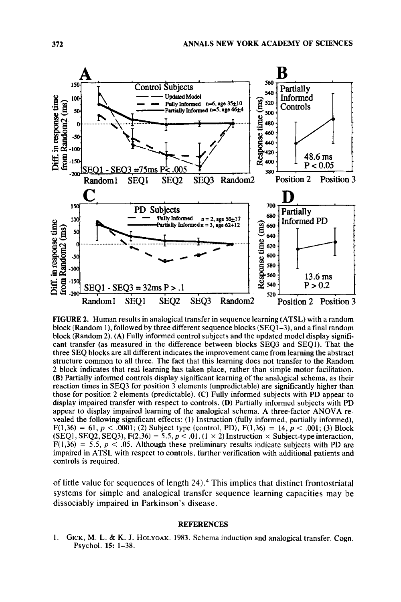

**FIGURE 2.** Human results in analogical transfer in sequence learning (ATSL) with a random block (Random I), followed by three different sequence blocks (SEQ1-3), and afinal random block (Random 2). **(A)** Fully informed control subjects and the updated model display significant transfer (as measured in the difference between blocks SEQ3 and SEQl). That the three SEQ blocks are all different indicates the improvement came from learning the abstract structure common to all three. The fact that this learning does not transfer to the Random 2 block indicates that real learning has taken place, rather than simple motor facilitation. (B) Partially informed controls display significant learning of the analogical schema, as their reaction times in SEQ3 for position 3 elements (unpredictable) are significantly higher than those for position 2 elements (predictable). **(C)** Fully informed subjects with PD appear to display impaired transfer with respect to controls. **(D)** Partially informed subjects with PD appear to display impaired learning of the analogical schema. A three-factor ANOVA revealed the following significant effects: (1) Instruction (fully informed, partially informed),  $F(1,36) = 61, p < .0001$ ; (2) Subject type (control, PD),  $F(1,36) = 14, p < .001$ ; (3) Block  $(SEQ1, SEQ2, SEQ3), F(2,36) = 5.5, p < .01.$  (1  $\times$  2) Instruction  $\times$  Subject-type interaction,  $F(1,36) = 5.5$ ,  $p < .05$ . Although these preliminary results indicate subjects with PD are impaired in ATSL with respect to controls, further verification with additional patients and controls is required.

of little value for sequences of length **24).4** This implies that distinct frontostriatal systems for simple and analogical transfer sequence learning capacities may be dissociably impaired in Parkinson's disease.

#### **REFERENCES**

**1.** GICK, M. L. & K. J. **HOLYOAK.** 1983. Schema induction and analogical transfer. Cogn. Psychol. **15:** 1-38.